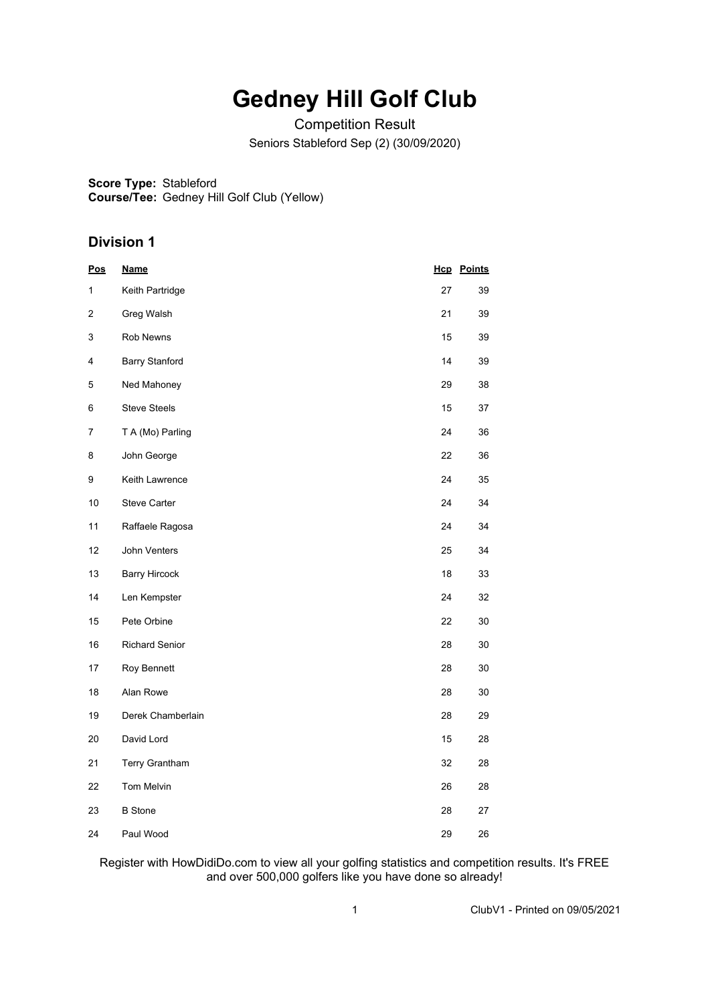## **Gedney Hill Golf Club**

Competition Result Seniors Stableford Sep (2) (30/09/2020)

**Score Type:** Stableford

**Course/Tee:** Gedney Hill Golf Club (Yellow)

## **Division 1**

| <u>Pos</u> | <u>Name</u>           |    | <b>Hcp</b> Points |
|------------|-----------------------|----|-------------------|
| 1          | Keith Partridge       | 27 | 39                |
| 2          | Greg Walsh            | 21 | 39                |
| 3          | Rob Newns             | 15 | 39                |
| 4          | <b>Barry Stanford</b> | 14 | 39                |
| 5          | Ned Mahoney           | 29 | 38                |
| 6          | <b>Steve Steels</b>   | 15 | 37                |
| 7          | T A (Mo) Parling      | 24 | 36                |
| 8          | John George           | 22 | 36                |
| 9          | Keith Lawrence        | 24 | 35                |
| 10         | <b>Steve Carter</b>   | 24 | 34                |
| 11         | Raffaele Ragosa       | 24 | 34                |
| 12         | John Venters          | 25 | 34                |
| 13         | <b>Barry Hircock</b>  | 18 | 33                |
| 14         | Len Kempster          | 24 | 32                |
| 15         | Pete Orbine           | 22 | 30                |
| 16         | <b>Richard Senior</b> | 28 | 30                |
| 17         | Roy Bennett           | 28 | 30                |
| 18         | Alan Rowe             | 28 | 30                |
| 19         | Derek Chamberlain     | 28 | 29                |
| 20         | David Lord            | 15 | 28                |
| 21         | <b>Terry Grantham</b> | 32 | 28                |
| 22         | Tom Melvin            | 26 | 28                |
| 23         | <b>B</b> Stone        | 28 | 27                |
| 24         | Paul Wood             | 29 | 26                |

Register with HowDidiDo.com to view all your golfing statistics and competition results. It's FREE and over 500,000 golfers like you have done so already!